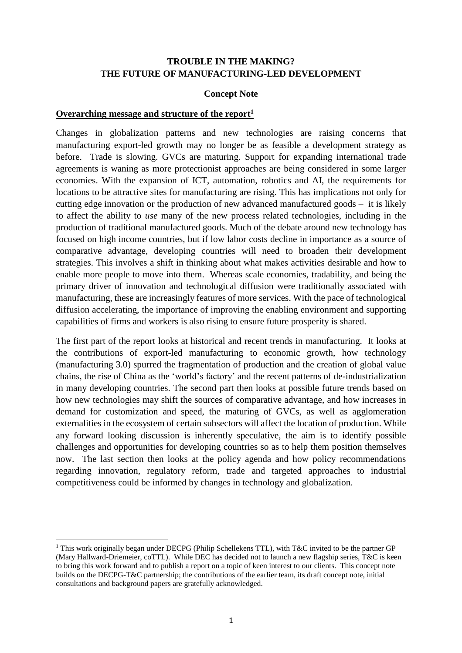#### **TROUBLE IN THE MAKING? THE FUTURE OF MANUFACTURING-LED DEVELOPMENT**

#### **Concept Note**

#### **Overarching message and structure of the report<sup>1</sup>**

Changes in globalization patterns and new technologies are raising concerns that manufacturing export-led growth may no longer be as feasible a development strategy as before. Trade is slowing. GVCs are maturing. Support for expanding international trade agreements is waning as more protectionist approaches are being considered in some larger economies. With the expansion of ICT, automation, robotics and AI, the requirements for locations to be attractive sites for manufacturing are rising. This has implications not only for cutting edge innovation or the production of new advanced manufactured goods – it is likely to affect the ability to *use* many of the new process related technologies, including in the production of traditional manufactured goods. Much of the debate around new technology has focused on high income countries, but if low labor costs decline in importance as a source of comparative advantage, developing countries will need to broaden their development strategies. This involves a shift in thinking about what makes activities desirable and how to enable more people to move into them. Whereas scale economies, tradability, and being the primary driver of innovation and technological diffusion were traditionally associated with manufacturing, these are increasingly features of more services. With the pace of technological diffusion accelerating, the importance of improving the enabling environment and supporting capabilities of firms and workers is also rising to ensure future prosperity is shared.

The first part of the report looks at historical and recent trends in manufacturing. It looks at the contributions of export-led manufacturing to economic growth, how technology (manufacturing 3.0) spurred the fragmentation of production and the creation of global value chains, the rise of China as the 'world's factory' and the recent patterns of de-industrialization in many developing countries. The second part then looks at possible future trends based on how new technologies may shift the sources of comparative advantage, and how increases in demand for customization and speed, the maturing of GVCs, as well as agglomeration externalities in the ecosystem of certain subsectors will affect the location of production. While any forward looking discussion is inherently speculative, the aim is to identify possible challenges and opportunities for developing countries so as to help them position themselves now. The last section then looks at the policy agenda and how policy recommendations regarding innovation, regulatory reform, trade and targeted approaches to industrial competitiveness could be informed by changes in technology and globalization.

<sup>&</sup>lt;sup>1</sup> This work originally began under DECPG (Philip Schellekens TTL), with T&C invited to be the partner GP (Mary Hallward-Driemeier, coTTL). While DEC has decided not to launch a new flagship series, T&C is keen to bring this work forward and to publish a report on a topic of keen interest to our clients. This concept note builds on the DECPG-T&C partnership; the contributions of the earlier team, its draft concept note, initial consultations and background papers are gratefully acknowledged.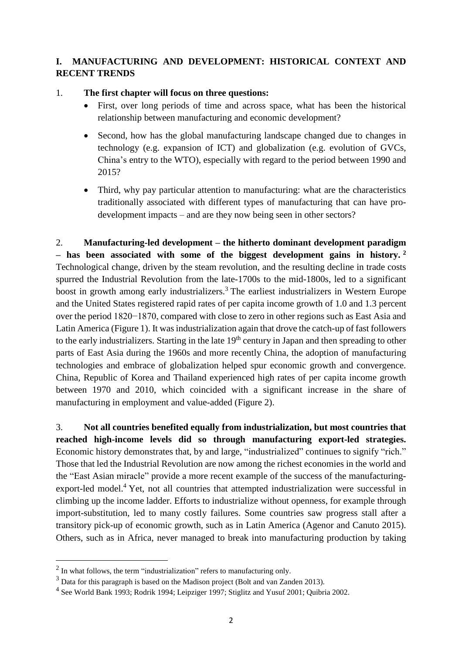# **I. MANUFACTURING AND DEVELOPMENT: HISTORICAL CONTEXT AND RECENT TRENDS**

### 1. **The first chapter will focus on three questions:**

- First, over long periods of time and across space, what has been the historical relationship between manufacturing and economic development?
- Second, how has the global manufacturing landscape changed due to changes in technology (e.g. expansion of ICT) and globalization (e.g. evolution of GVCs, China's entry to the WTO), especially with regard to the period between 1990 and 2015?
- Third, why pay particular attention to manufacturing: what are the characteristics traditionally associated with different types of manufacturing that can have prodevelopment impacts – and are they now being seen in other sectors?

2. **Manufacturing-led development – the hitherto dominant development paradigm – has been associated with some of the biggest development gains in history. <sup>2</sup>** Technological change, driven by the steam revolution, and the resulting decline in trade costs spurred the Industrial Revolution from the late-1700s to the mid-1800s, led to a significant boost in growth among early industrializers.<sup>3</sup> The earliest industrializers in Western Europe and the United States registered rapid rates of per capita income growth of 1.0 and 1.3 percent over the period 1820−1870, compared with close to zero in other regions such as East Asia and Latin America (Figure 1). It was industrialization again that drove the catch-up of fast followers to the early industrializers. Starting in the late 19<sup>th</sup> century in Japan and then spreading to other parts of East Asia during the 1960s and more recently China, the adoption of manufacturing technologies and embrace of globalization helped spur economic growth and convergence. China, Republic of Korea and Thailand experienced high rates of per capita income growth between 1970 and 2010, which coincided with a significant increase in the share of manufacturing in employment and value-added (Figure 2).

3. **Not all countries benefited equally from industrialization, but most countries that reached high-income levels did so through manufacturing export-led strategies.**  Economic history demonstrates that, by and large, "industrialized" continues to signify "rich." Those that led the Industrial Revolution are now among the richest economies in the world and the "East Asian miracle" provide a more recent example of the success of the manufacturingexport-led model.<sup>4</sup> Yet, not all countries that attempted industrialization were successful in climbing up the income ladder. Efforts to industrialize without openness, for example through import-substitution, led to many costly failures. Some countries saw progress stall after a transitory pick-up of economic growth, such as in Latin America (Agenor and Canuto 2015). Others, such as in Africa, never managed to break into manufacturing production by taking

 $2$  In what follows, the term "industrialization" refers to manufacturing only.

<sup>3</sup> Data for this paragraph is based on the Madison project (Bolt and van Zanden 2013).

<sup>&</sup>lt;sup>4</sup> See World Bank 1993; Rodrik 1994; Leipziger 1997; Stiglitz and Yusuf 2001; Quibria 2002.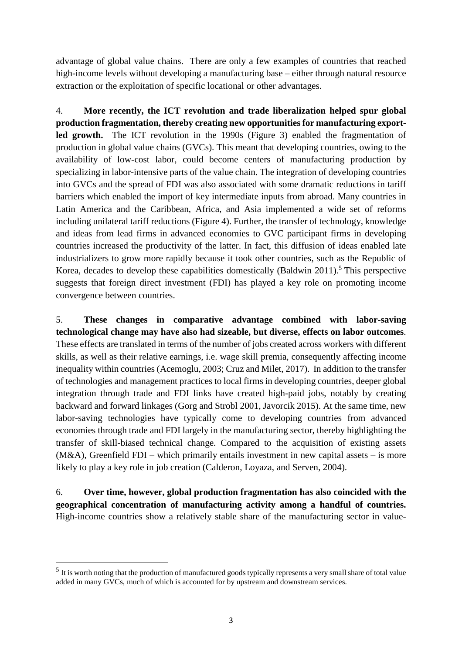advantage of global value chains. There are only a few examples of countries that reached high-income levels without developing a manufacturing base – either through natural resource extraction or the exploitation of specific locational or other advantages.

4. **More recently, the ICT revolution and trade liberalization helped spur global production fragmentation, thereby creating new opportunitiesfor manufacturing exportled growth.** The ICT revolution in the 1990s (Figure 3) enabled the fragmentation of production in global value chains (GVCs). This meant that developing countries, owing to the availability of low-cost labor, could become centers of manufacturing production by specializing in labor-intensive parts of the value chain. The integration of developing countries into GVCs and the spread of FDI was also associated with some dramatic reductions in tariff barriers which enabled the import of key intermediate inputs from abroad. Many countries in Latin America and the Caribbean, Africa, and Asia implemented a wide set of reforms including unilateral tariff reductions (Figure 4). Further, the transfer of technology, knowledge and ideas from lead firms in advanced economies to GVC participant firms in developing countries increased the productivity of the latter. In fact, this diffusion of ideas enabled late industrializers to grow more rapidly because it took other countries, such as the Republic of Korea, decades to develop these capabilities domestically (Baldwin 2011).<sup>5</sup> This perspective suggests that foreign direct investment (FDI) has played a key role on promoting income convergence between countries.

5. **These changes in comparative advantage combined with labor-saving technological change may have also had sizeable, but diverse, effects on labor outcomes**. These effects are translated in terms of the number of jobs created across workers with different skills, as well as their relative earnings, i.e. wage skill premia, consequently affecting income inequality within countries (Acemoglu, 2003; Cruz and Milet, 2017). In addition to the transfer of technologies and management practices to local firms in developing countries, deeper global integration through trade and FDI links have created high-paid jobs, notably by creating backward and forward linkages (Gorg and Strobl 2001, Javorcik 2015). At the same time, new labor-saving technologies have typically come to developing countries from advanced economies through trade and FDI largely in the manufacturing sector, thereby highlighting the transfer of skill-biased technical change. Compared to the acquisition of existing assets  $(M&A)$ , Greenfield FDI – which primarily entails investment in new capital assets – is more likely to play a key role in job creation (Calderon, Loyaza, and Serven, 2004).

6. **Over time, however, global production fragmentation has also coincided with the geographical concentration of manufacturing activity among a handful of countries.** High-income countries show a relatively stable share of the manufacturing sector in value-

 $<sup>5</sup>$  It is worth noting that the production of manufactured goods typically represents a very small share of total value</sup> added in many GVCs, much of which is accounted for by upstream and downstream services.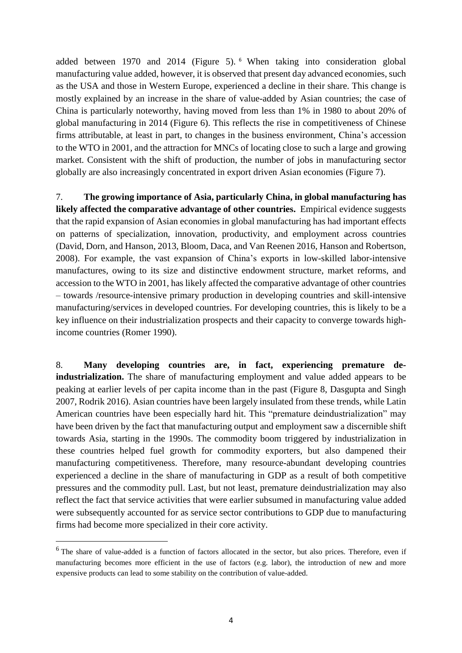added between 1970 and 2014 (Figure 5). <sup>6</sup> When taking into consideration global manufacturing value added, however, it is observed that present day advanced economies, such as the USA and those in Western Europe, experienced a decline in their share. This change is mostly explained by an increase in the share of value-added by Asian countries; the case of China is particularly noteworthy, having moved from less than 1% in 1980 to about 20% of global manufacturing in 2014 (Figure 6). This reflects the rise in competitiveness of Chinese firms attributable, at least in part, to changes in the business environment, China's accession to the WTO in 2001, and the attraction for MNCs of locating close to such a large and growing market. Consistent with the shift of production, the number of jobs in manufacturing sector globally are also increasingly concentrated in export driven Asian economies (Figure 7).

7. **The growing importance of Asia, particularly China, in global manufacturing has likely affected the comparative advantage of other countries.** Empirical evidence suggests that the rapid expansion of Asian economies in global manufacturing has had important effects on patterns of specialization, innovation, productivity, and employment across countries (David, Dorn, and Hanson, 2013, Bloom, Daca, and Van Reenen 2016, Hanson and Robertson, 2008). For example, the vast expansion of China's exports in low-skilled labor-intensive manufactures, owing to its size and distinctive endowment structure, market reforms, and accession to the WTO in 2001, has likely affected the comparative advantage of other countries – towards /resource-intensive primary production in developing countries and skill-intensive manufacturing/services in developed countries. For developing countries, this is likely to be a key influence on their industrialization prospects and their capacity to converge towards highincome countries (Romer 1990).

8. **Many developing countries are, in fact, experiencing premature deindustrialization.** The share of manufacturing employment and value added appears to be peaking at earlier levels of per capita income than in the past (Figure 8, Dasgupta and Singh 2007, Rodrik 2016). Asian countries have been largely insulated from these trends, while Latin American countries have been especially hard hit. This "premature deindustrialization" may have been driven by the fact that manufacturing output and employment saw a discernible shift towards Asia, starting in the 1990s. The commodity boom triggered by industrialization in these countries helped fuel growth for commodity exporters, but also dampened their manufacturing competitiveness. Therefore, many resource-abundant developing countries experienced a decline in the share of manufacturing in GDP as a result of both competitive pressures and the commodity pull. Last, but not least, premature deindustrialization may also reflect the fact that service activities that were earlier subsumed in manufacturing value added were subsequently accounted for as service sector contributions to GDP due to manufacturing firms had become more specialized in their core activity.

<sup>&</sup>lt;sup>6</sup> The share of value-added is a function of factors allocated in the sector, but also prices. Therefore, even if manufacturing becomes more efficient in the use of factors (e.g. labor), the introduction of new and more expensive products can lead to some stability on the contribution of value-added.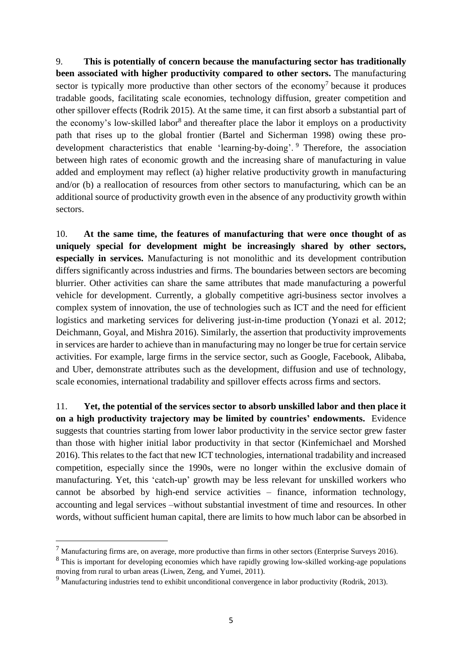9. **This is potentially of concern because the manufacturing sector has traditionally been associated with higher productivity compared to other sectors.** The manufacturing sector is typically more productive than other sectors of the economy<sup>7</sup> because it produces tradable goods, facilitating scale economies, technology diffusion, greater competition and other spillover effects (Rodrik 2015). At the same time, it can first absorb a substantial part of the economy's low-skilled labor<sup>8</sup> and thereafter place the labor it employs on a productivity path that rises up to the global frontier (Bartel and Sicherman 1998) owing these prodevelopment characteristics that enable 'learning-by-doing'. <sup>9</sup> Therefore, the association between high rates of economic growth and the increasing share of manufacturing in value added and employment may reflect (a) higher relative productivity growth in manufacturing and/or (b) a reallocation of resources from other sectors to manufacturing, which can be an additional source of productivity growth even in the absence of any productivity growth within sectors.

10. **At the same time, the features of manufacturing that were once thought of as uniquely special for development might be increasingly shared by other sectors, especially in services.** Manufacturing is not monolithic and its development contribution differs significantly across industries and firms. The boundaries between sectors are becoming blurrier. Other activities can share the same attributes that made manufacturing a powerful vehicle for development. Currently, a globally competitive agri-business sector involves a complex system of innovation, the use of technologies such as ICT and the need for efficient logistics and marketing services for delivering just-in-time production (Yonazi et al. 2012; Deichmann, Goyal, and Mishra 2016). Similarly, the assertion that productivity improvements in services are harder to achieve than in manufacturing may no longer be true for certain service activities. For example, large firms in the service sector, such as Google, Facebook, Alibaba, and Uber, demonstrate attributes such as the development, diffusion and use of technology, scale economies, international tradability and spillover effects across firms and sectors.

11. **Yet, the potential of the services sector to absorb unskilled labor and then place it on a high productivity trajectory may be limited by countries' endowments.** Evidence suggests that countries starting from lower labor productivity in the service sector grew faster than those with higher initial labor productivity in that sector (Kinfemichael and Morshed 2016). This relates to the fact that new ICT technologies, international tradability and increased competition, especially since the 1990s, were no longer within the exclusive domain of manufacturing. Yet, this 'catch-up' growth may be less relevant for unskilled workers who cannot be absorbed by high-end service activities – finance, information technology, accounting and legal services –without substantial investment of time and resources. In other words, without sufficient human capital, there are limits to how much labor can be absorbed in

<sup>7</sup> Manufacturing firms are, on average, more productive than firms in other sectors (Enterprise Surveys 2016).

<sup>&</sup>lt;sup>8</sup> This is important for developing economies which have rapidly growing low-skilled working-age populations moving from rural to urban areas (Liwen, Zeng, and Yumei, 2011).

<sup>&</sup>lt;sup>9</sup> Manufacturing industries tend to exhibit unconditional convergence in labor productivity (Rodrik, 2013).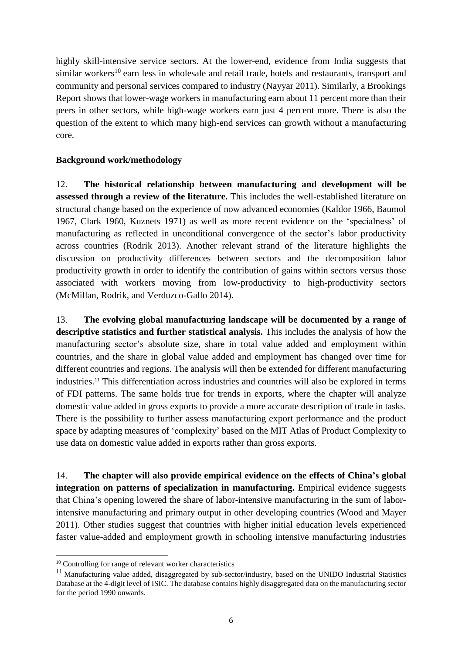highly skill-intensive service sectors. At the lower-end, evidence from India suggests that similar workers<sup>10</sup> earn less in wholesale and retail trade, hotels and restaurants, transport and community and personal services compared to industry (Nayyar 2011). Similarly, a Brookings Report shows that lower-wage workers in manufacturing earn about 11 percent more than their peers in other sectors, while high-wage workers earn just 4 percent more. There is also the question of the extent to which many high-end services can growth without a manufacturing core.

#### **Background work/methodology**

12. **The historical relationship between manufacturing and development will be assessed through a review of the literature.** This includes the well-established literature on structural change based on the experience of now advanced economies (Kaldor 1966, Baumol 1967, Clark 1960, Kuznets 1971) as well as more recent evidence on the 'specialness' of manufacturing as reflected in unconditional convergence of the sector's labor productivity across countries (Rodrik 2013). Another relevant strand of the literature highlights the discussion on productivity differences between sectors and the decomposition labor productivity growth in order to identify the contribution of gains within sectors versus those associated with workers moving from low-productivity to high-productivity sectors (McMillan, Rodrik, and Verduzco-Gallo 2014).

13. **The evolving global manufacturing landscape will be documented by a range of descriptive statistics and further statistical analysis.** This includes the analysis of how the manufacturing sector's absolute size, share in total value added and employment within countries, and the share in global value added and employment has changed over time for different countries and regions. The analysis will then be extended for different manufacturing industries.<sup>11</sup> This differentiation across industries and countries will also be explored in terms of FDI patterns. The same holds true for trends in exports, where the chapter will analyze domestic value added in gross exports to provide a more accurate description of trade in tasks. There is the possibility to further assess manufacturing export performance and the product space by adapting measures of 'complexity' based on the MIT Atlas of Product Complexity to use data on domestic value added in exports rather than gross exports.

14. **The chapter will also provide empirical evidence on the effects of China's global integration on patterns of specialization in manufacturing.** Empirical evidence suggests that China's opening lowered the share of labor-intensive manufacturing in the sum of laborintensive manufacturing and primary output in other developing countries (Wood and Mayer 2011). Other studies suggest that countries with higher initial education levels experienced faster value-added and employment growth in schooling intensive manufacturing industries

<sup>&</sup>lt;sup>10</sup> Controlling for range of relevant worker characteristics

<sup>&</sup>lt;sup>11</sup> Manufacturing value added, disaggregated by sub-sector/industry, based on the UNIDO Industrial Statistics Database at the 4-digit level of ISIC. The database contains highly disaggregated data on the manufacturing sector for the period 1990 onwards.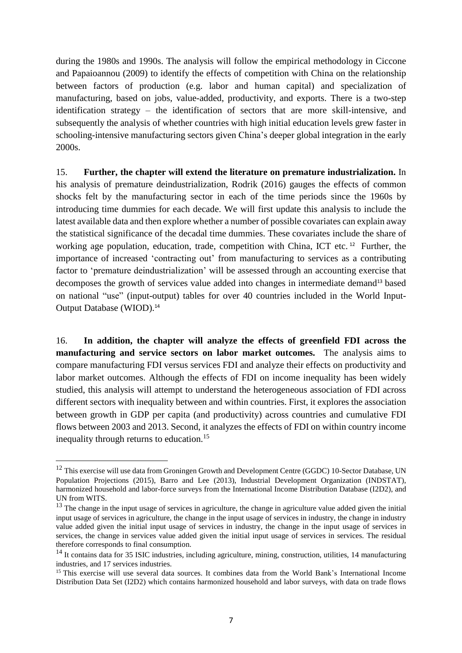during the 1980s and 1990s. The analysis will follow the empirical methodology in Ciccone and Papaioannou (2009) to identify the effects of competition with China on the relationship between factors of production (e.g. labor and human capital) and specialization of manufacturing, based on jobs, value-added, productivity, and exports. There is a two-step identification strategy – the identification of sectors that are more skill-intensive, and subsequently the analysis of whether countries with high initial education levels grew faster in schooling-intensive manufacturing sectors given China's deeper global integration in the early 2000s.

15. **Further, the chapter will extend the literature on premature industrialization.** In his analysis of premature deindustrialization, Rodrik (2016) gauges the effects of common shocks felt by the manufacturing sector in each of the time periods since the 1960s by introducing time dummies for each decade. We will first update this analysis to include the latest available data and then explore whether a number of possible covariates can explain away the statistical significance of the decadal time dummies. These covariates include the share of working age population, education, trade, competition with China, ICT etc.<sup>12</sup> Further, the importance of increased 'contracting out' from manufacturing to services as a contributing factor to 'premature deindustrialization' will be assessed through an accounting exercise that decomposes the growth of services value added into changes in intermediate demand<sup>13</sup> based on national "use" (input-output) tables for over 40 countries included in the World Input-Output Database (WIOD).<sup>14</sup>

16. **In addition, the chapter will analyze the effects of greenfield FDI across the manufacturing and service sectors on labor market outcomes.** The analysis aims to compare manufacturing FDI versus services FDI and analyze their effects on productivity and labor market outcomes. Although the effects of FDI on income inequality has been widely studied, this analysis will attempt to understand the heterogeneous association of FDI across different sectors with inequality between and within countries. First, it explores the association between growth in GDP per capita (and productivity) across countries and cumulative FDI flows between 2003 and 2013. Second, it analyzes the effects of FDI on within country income inequality through returns to education.<sup>15</sup>

<sup>&</sup>lt;sup>12</sup> This exercise will use data from Groningen Growth and Development Centre (GGDC) 10-Sector Database, UN Population Projections (2015), Barro and Lee (2013), Industrial Development Organization (INDSTAT), harmonized household and labor-force surveys from the International Income Distribution Database (I2D2), and UN from WITS.

<sup>&</sup>lt;sup>13</sup> The change in the input usage of services in agriculture, the change in agriculture value added given the initial input usage of services in agriculture, the change in the input usage of services in industry, the change in industry value added given the initial input usage of services in industry, the change in the input usage of services in services, the change in services value added given the initial input usage of services in services. The residual therefore corresponds to final consumption.

<sup>&</sup>lt;sup>14</sup> It contains data for 35 ISIC industries, including agriculture, mining, construction, utilities, 14 manufacturing industries, and 17 services industries.

<sup>&</sup>lt;sup>15</sup> This exercise will use several data sources. It combines data from the World Bank's International Income Distribution Data Set (I2D2) which contains harmonized household and labor surveys, with data on trade flows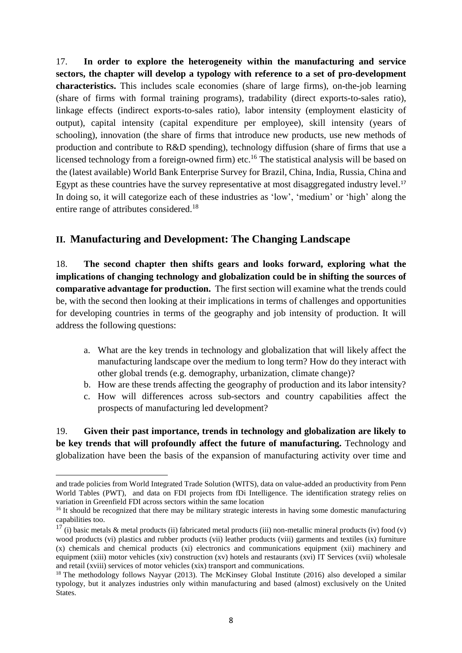17. **In order to explore the heterogeneity within the manufacturing and service sectors, the chapter will develop a typology with reference to a set of pro-development characteristics.** This includes scale economies (share of large firms), on-the-job learning (share of firms with formal training programs), tradability (direct exports-to-sales ratio), linkage effects (indirect exports-to-sales ratio), labor intensity (employment elasticity of output), capital intensity (capital expenditure per employee), skill intensity (years of schooling), innovation (the share of firms that introduce new products, use new methods of production and contribute to R&D spending), technology diffusion (share of firms that use a licensed technology from a foreign-owned firm) etc.<sup>16</sup> The statistical analysis will be based on the (latest available) World Bank Enterprise Survey for Brazil, China, India, Russia, China and Egypt as these countries have the survey representative at most disaggregated industry level.<sup>17</sup> In doing so, it will categorize each of these industries as 'low', 'medium' or 'high' along the entire range of attributes considered.<sup>18</sup>

# **II. Manufacturing and Development: The Changing Landscape**

18. **The second chapter then shifts gears and looks forward, exploring what the implications of changing technology and globalization could be in shifting the sources of comparative advantage for production.** The first section will examine what the trends could be, with the second then looking at their implications in terms of challenges and opportunities for developing countries in terms of the geography and job intensity of production. It will address the following questions:

- a. What are the key trends in technology and globalization that will likely affect the manufacturing landscape over the medium to long term? How do they interact with other global trends (e.g. demography, urbanization, climate change)?
- b. How are these trends affecting the geography of production and its labor intensity?
- c. How will differences across sub-sectors and country capabilities affect the prospects of manufacturing led development?

19. **Given their past importance, trends in technology and globalization are likely to be key trends that will profoundly affect the future of manufacturing.** Technology and globalization have been the basis of the expansion of manufacturing activity over time and

and trade policies from World Integrated Trade Solution (WITS), data on value-added an productivity from Penn World Tables (PWT), and data on FDI projects from fDi Intelligence. The identification strategy relies on variation in Greenfield FDI across sectors within the same location

<sup>&</sup>lt;sup>16</sup> It should be recognized that there may be military strategic interests in having some domestic manufacturing capabilities too.

 $17$  (i) basic metals & metal products (ii) fabricated metal products (iii) non-metallic mineral products (iv) food (v) wood products (vi) plastics and rubber products (vii) leather products (viii) garments and textiles (ix) furniture (x) chemicals and chemical products (xi) electronics and communications equipment (xii) machinery and equipment (xiii) motor vehicles (xiv) construction (xv) hotels and restaurants (xvi) IT Services (xvii) wholesale and retail (xviii) services of motor vehicles (xix) transport and communications.

<sup>&</sup>lt;sup>18</sup> The methodology follows Nayyar (2013). The McKinsey Global Institute (2016) also developed a similar typology, but it analyzes industries only within manufacturing and based (almost) exclusively on the United States.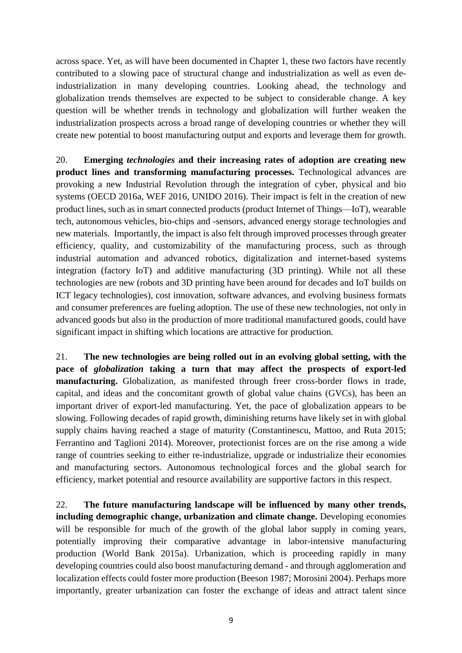across space. Yet, as will have been documented in Chapter 1, these two factors have recently contributed to a slowing pace of structural change and industrialization as well as even deindustrialization in many developing countries. Looking ahead, the technology and globalization trends themselves are expected to be subject to considerable change. A key question will be whether trends in technology and globalization will further weaken the industrialization prospects across a broad range of developing countries or whether they will create new potential to boost manufacturing output and exports and leverage them for growth.

20. **Emerging** *technologies* **and their increasing rates of adoption are creating new product lines and transforming manufacturing processes.** Technological advances are provoking a new Industrial Revolution through the integration of cyber, physical and bio systems (OECD 2016a, WEF 2016, UNIDO 2016). Their impact is felt in the creation of new product lines, such as in smart connected products (product Internet of Things—IoT), wearable tech, autonomous vehicles, bio-chips and -sensors, advanced energy storage technologies and new materials. Importantly, the impact is also felt through improved processes through greater efficiency, quality, and customizability of the manufacturing process, such as through industrial automation and advanced robotics, digitalization and internet-based systems integration (factory IoT) and additive manufacturing (3D printing). While not all these technologies are new (robots and 3D printing have been around for decades and IoT builds on ICT legacy technologies), cost innovation, software advances, and evolving business formats and consumer preferences are fueling adoption. The use of these new technologies, not only in advanced goods but also in the production of more traditional manufactured goods, could have significant impact in shifting which locations are attractive for production.

21. **The new technologies are being rolled out in an evolving global setting, with the pace of** *globalization* **taking a turn that may affect the prospects of export-led manufacturing.** Globalization, as manifested through freer cross-border flows in trade, capital, and ideas and the concomitant growth of global value chains (GVCs), has been an important driver of export-led manufacturing. Yet, the pace of globalization appears to be slowing. Following decades of rapid growth, diminishing returns have likely set in with global supply chains having reached a stage of maturity (Constantinescu, Mattoo, and Ruta 2015; Ferrantino and Taglioni 2014). Moreover, protectionist forces are on the rise among a wide range of countries seeking to either re-industrialize, upgrade or industrialize their economies and manufacturing sectors. Autonomous technological forces and the global search for efficiency, market potential and resource availability are supportive factors in this respect.

22. **The future manufacturing landscape will be influenced by many other trends, including demographic change, urbanization and climate change.** Developing economies will be responsible for much of the growth of the global labor supply in coming years, potentially improving their comparative advantage in labor-intensive manufacturing production (World Bank 2015a). Urbanization, which is proceeding rapidly in many developing countries could also boost manufacturing demand - and through agglomeration and localization effects could foster more production (Beeson 1987; Morosini 2004). Perhaps more importantly, greater urbanization can foster the exchange of ideas and attract talent since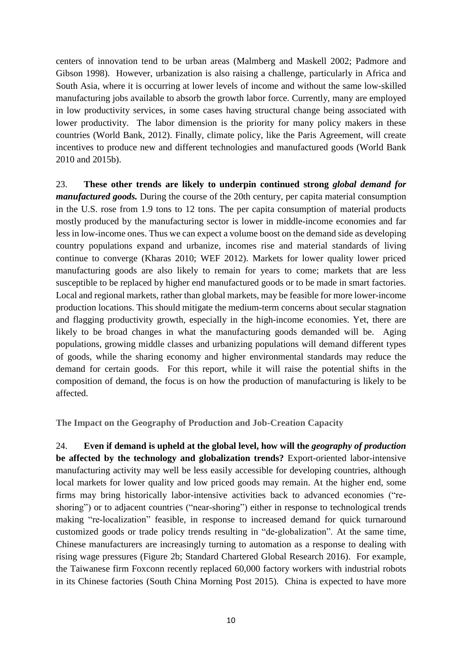centers of innovation tend to be urban areas (Malmberg and Maskell 2002; Padmore and Gibson 1998). However, urbanization is also raising a challenge, particularly in Africa and South Asia, where it is occurring at lower levels of income and without the same low-skilled manufacturing jobs available to absorb the growth labor force. Currently, many are employed in low productivity services, in some cases having structural change being associated with lower productivity. The labor dimension is the priority for many policy makers in these countries (World Bank, 2012). Finally, climate policy, like the Paris Agreement, will create incentives to produce new and different technologies and manufactured goods (World Bank 2010 and 2015b).

23. **These other trends are likely to underpin continued strong** *global demand for manufactured goods.* During the course of the 20th century, per capita material consumption in the U.S. rose from 1.9 tons to 12 tons. The per capita consumption of material products mostly produced by the manufacturing sector is lower in middle-income economies and far less in low-income ones. Thus we can expect a volume boost on the demand side as developing country populations expand and urbanize, incomes rise and material standards of living continue to converge (Kharas 2010; WEF 2012). Markets for lower quality lower priced manufacturing goods are also likely to remain for years to come; markets that are less susceptible to be replaced by higher end manufactured goods or to be made in smart factories. Local and regional markets, rather than global markets, may be feasible for more lower-income production locations. This should mitigate the medium-term concerns about secular stagnation and flagging productivity growth, especially in the high-income economies. Yet, there are likely to be broad changes in what the manufacturing goods demanded will be. Aging populations, growing middle classes and urbanizing populations will demand different types of goods, while the sharing economy and higher environmental standards may reduce the demand for certain goods. For this report, while it will raise the potential shifts in the composition of demand, the focus is on how the production of manufacturing is likely to be affected.

**The Impact on the Geography of Production and Job-Creation Capacity**

24. **Even if demand is upheld at the global level, how will the** *geography of production* **be affected by the technology and globalization trends?** Export-oriented labor-intensive manufacturing activity may well be less easily accessible for developing countries, although local markets for lower quality and low priced goods may remain. At the higher end, some firms may bring historically labor-intensive activities back to advanced economies ("reshoring") or to adjacent countries ("near-shoring") either in response to technological trends making "re-localization" feasible, in response to increased demand for quick turnaround customized goods or trade policy trends resulting in "de-globalization". At the same time, Chinese manufacturers are increasingly turning to automation as a response to dealing with rising wage pressures (Figure 2b; Standard Chartered Global Research 2016). For example, the Taiwanese firm Foxconn recently replaced 60,000 factory workers with industrial robots in its Chinese factories (South China Morning Post 2015). China is expected to have more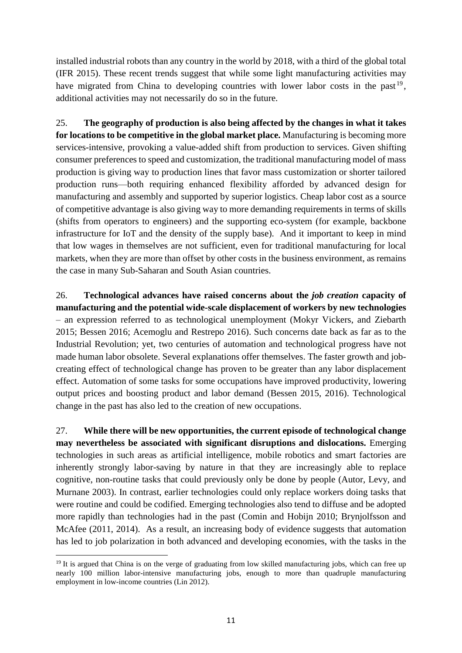installed industrial robots than any country in the world by 2018, with a third of the global total (IFR 2015). These recent trends suggest that while some light manufacturing activities may have migrated from China to developing countries with lower labor costs in the past<sup>19</sup>, additional activities may not necessarily do so in the future.

25. **The geography of production is also being affected by the changes in what it takes for locations to be competitive in the global market place.** Manufacturing is becoming more services-intensive, provoking a value-added shift from production to services. Given shifting consumer preferences to speed and customization, the traditional manufacturing model of mass production is giving way to production lines that favor mass customization or shorter tailored production runs—both requiring enhanced flexibility afforded by advanced design for manufacturing and assembly and supported by superior logistics. Cheap labor cost as a source of competitive advantage is also giving way to more demanding requirements in terms of skills (shifts from operators to engineers) and the supporting eco-system (for example, backbone infrastructure for IoT and the density of the supply base). And it important to keep in mind that low wages in themselves are not sufficient, even for traditional manufacturing for local markets, when they are more than offset by other costs in the business environment, as remains the case in many Sub-Saharan and South Asian countries.

26. **Technological advances have raised concerns about the** *job creation* **capacity of manufacturing and the potential wide-scale displacement of workers by new technologies** – an expression referred to as technological unemployment (Mokyr Vickers, and Ziebarth 2015; Bessen 2016; Acemoglu and Restrepo 2016). Such concerns date back as far as to the Industrial Revolution; yet, two centuries of automation and technological progress have not made human labor obsolete. Several explanations offer themselves. The faster growth and jobcreating effect of technological change has proven to be greater than any labor displacement effect. Automation of some tasks for some occupations have improved productivity, lowering output prices and boosting product and labor demand (Bessen 2015, 2016). Technological change in the past has also led to the creation of new occupations.

27. **While there will be new opportunities, the current episode of technological change may nevertheless be associated with significant disruptions and dislocations.** Emerging technologies in such areas as artificial intelligence, mobile robotics and smart factories are inherently strongly labor-saving by nature in that they are increasingly able to replace cognitive, non-routine tasks that could previously only be done by people (Autor, Levy, and Murnane 2003). In contrast, earlier technologies could only replace workers doing tasks that were routine and could be codified. Emerging technologies also tend to diffuse and be adopted more rapidly than technologies had in the past (Comin and Hobijn 2010; Brynjolfsson and McAfee (2011, 2014). As a result, an increasing body of evidence suggests that automation has led to job polarization in both advanced and developing economies, with the tasks in the

<sup>&</sup>lt;sup>19</sup> It is argued that China is on the verge of graduating from low skilled manufacturing jobs, which can free up nearly 100 million labor-intensive manufacturing jobs, enough to more than quadruple manufacturing employment in low-income countries (Lin 2012).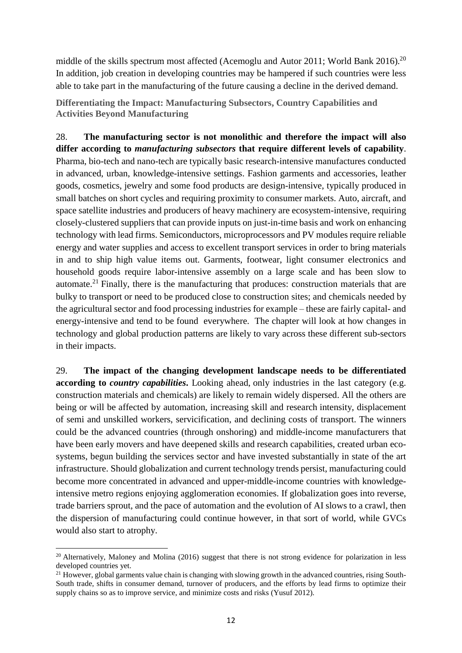middle of the skills spectrum most affected (Acemoglu and Autor 2011; World Bank 2016).<sup>20</sup> In addition, job creation in developing countries may be hampered if such countries were less able to take part in the manufacturing of the future causing a decline in the derived demand.

**Differentiating the Impact: Manufacturing Subsectors, Country Capabilities and Activities Beyond Manufacturing**

28. **The manufacturing sector is not monolithic and therefore the impact will also differ according to** *manufacturing subsectors* **that require different levels of capability**. Pharma, bio-tech and nano-tech are typically basic research-intensive manufactures conducted in advanced, urban, knowledge-intensive settings. Fashion garments and accessories, leather goods, cosmetics, jewelry and some food products are design-intensive, typically produced in small batches on short cycles and requiring proximity to consumer markets. Auto, aircraft, and space satellite industries and producers of heavy machinery are ecosystem-intensive, requiring closely-clustered suppliers that can provide inputs on just-in-time basis and work on enhancing technology with lead firms. Semiconductors, microprocessors and PV modules require reliable energy and water supplies and access to excellent transport services in order to bring materials in and to ship high value items out. Garments, footwear, light consumer electronics and household goods require labor-intensive assembly on a large scale and has been slow to automate.<sup>21</sup> Finally, there is the manufacturing that produces: construction materials that are bulky to transport or need to be produced close to construction sites; and chemicals needed by the agricultural sector and food processing industries for example – these are fairly capital- and energy-intensive and tend to be found everywhere. The chapter will look at how changes in technology and global production patterns are likely to vary across these different sub-sectors in their impacts.

29. **The impact of the changing development landscape needs to be differentiated according to** *country capabilities***.** Looking ahead, only industries in the last category (e.g. construction materials and chemicals) are likely to remain widely dispersed. All the others are being or will be affected by automation, increasing skill and research intensity, displacement of semi and unskilled workers, servicification, and declining costs of transport. The winners could be the advanced countries (through onshoring) and middle-income manufacturers that have been early movers and have deepened skills and research capabilities, created urban ecosystems, begun building the services sector and have invested substantially in state of the art infrastructure. Should globalization and current technology trends persist, manufacturing could become more concentrated in advanced and upper-middle-income countries with knowledgeintensive metro regions enjoying agglomeration economies. If globalization goes into reverse, trade barriers sprout, and the pace of automation and the evolution of AI slows to a crawl, then the dispersion of manufacturing could continue however, in that sort of world, while GVCs would also start to atrophy.

 $\overline{a}$ <sup>20</sup> Alternatively, Maloney and Molina (2016) suggest that there is not strong evidence for polarization in less developed countries yet.

<sup>&</sup>lt;sup>21</sup> However, global garments value chain is changing with slowing growth in the advanced countries, rising South-South trade, shifts in consumer demand, turnover of producers, and the efforts by lead firms to optimize their supply chains so as to improve service, and minimize costs and risks (Yusuf 2012).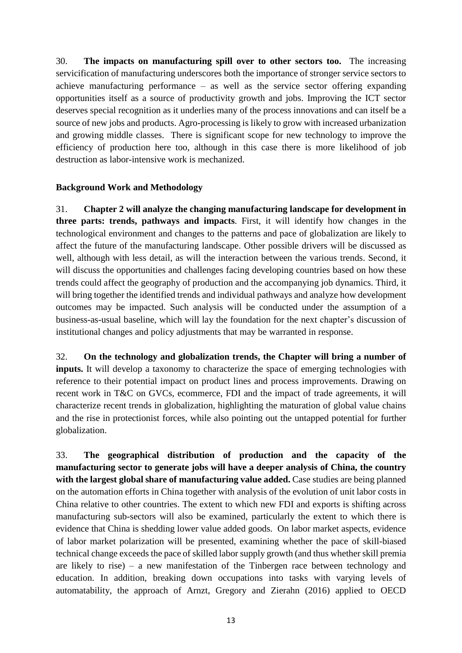30. **The impacts on manufacturing spill over to other sectors too.** The increasing servicification of manufacturing underscores both the importance of stronger service sectors to achieve manufacturing performance – as well as the service sector offering expanding opportunities itself as a source of productivity growth and jobs. Improving the ICT sector deserves special recognition as it underlies many of the process innovations and can itself be a source of new jobs and products. Agro-processing is likely to grow with increased urbanization and growing middle classes. There is significant scope for new technology to improve the efficiency of production here too, although in this case there is more likelihood of job destruction as labor-intensive work is mechanized.

### **Background Work and Methodology**

31. **Chapter 2 will analyze the changing manufacturing landscape for development in three parts: trends, pathways and impacts**. First, it will identify how changes in the technological environment and changes to the patterns and pace of globalization are likely to affect the future of the manufacturing landscape. Other possible drivers will be discussed as well, although with less detail, as will the interaction between the various trends. Second, it will discuss the opportunities and challenges facing developing countries based on how these trends could affect the geography of production and the accompanying job dynamics. Third, it will bring together the identified trends and individual pathways and analyze how development outcomes may be impacted. Such analysis will be conducted under the assumption of a business-as-usual baseline, which will lay the foundation for the next chapter's discussion of institutional changes and policy adjustments that may be warranted in response.

32. **On the technology and globalization trends, the Chapter will bring a number of inputs.** It will develop a taxonomy to characterize the space of emerging technologies with reference to their potential impact on product lines and process improvements. Drawing on recent work in T&C on GVCs, ecommerce, FDI and the impact of trade agreements, it will characterize recent trends in globalization, highlighting the maturation of global value chains and the rise in protectionist forces, while also pointing out the untapped potential for further globalization.

33. **The geographical distribution of production and the capacity of the manufacturing sector to generate jobs will have a deeper analysis of China, the country with the largest global share of manufacturing value added.** Case studies are being planned on the automation efforts in China together with analysis of the evolution of unit labor costs in China relative to other countries. The extent to which new FDI and exports is shifting across manufacturing sub-sectors will also be examined, particularly the extent to which there is evidence that China is shedding lower value added goods. On labor market aspects, evidence of labor market polarization will be presented, examining whether the pace of skill-biased technical change exceeds the pace of skilled labor supply growth (and thus whether skill premia are likely to rise) – a new manifestation of the Tinbergen race between technology and education. In addition, breaking down occupations into tasks with varying levels of automatability, the approach of Arnzt, Gregory and Zierahn (2016) applied to OECD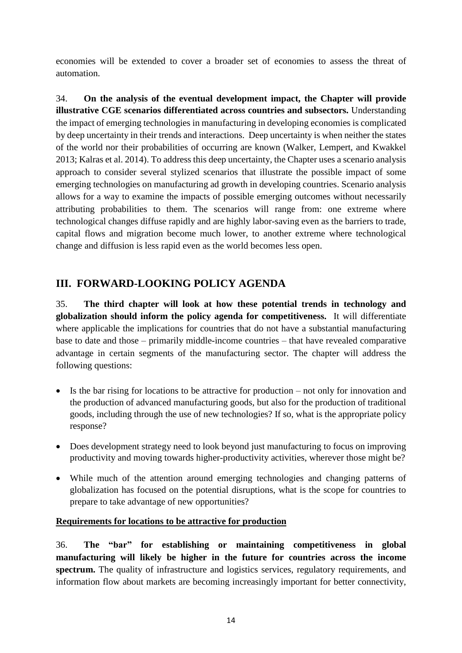economies will be extended to cover a broader set of economies to assess the threat of automation.

34. **On the analysis of the eventual development impact, the Chapter will provide illustrative CGE scenarios differentiated across countries and subsectors.** Understanding the impact of emerging technologies in manufacturing in developing economies is complicated by deep uncertainty in their trends and interactions. Deep uncertainty is when neither the states of the world nor their probabilities of occurring are known (Walker, Lempert, and Kwakkel 2013; Kalras et al. 2014). To address this deep uncertainty, the Chapter uses a scenario analysis approach to consider several stylized scenarios that illustrate the possible impact of some emerging technologies on manufacturing ad growth in developing countries. Scenario analysis allows for a way to examine the impacts of possible emerging outcomes without necessarily attributing probabilities to them. The scenarios will range from: one extreme where technological changes diffuse rapidly and are highly labor-saving even as the barriers to trade, capital flows and migration become much lower, to another extreme where technological change and diffusion is less rapid even as the world becomes less open.

# **III. FORWARD-LOOKING POLICY AGENDA**

35. **The third chapter will look at how these potential trends in technology and globalization should inform the policy agenda for competitiveness.** It will differentiate where applicable the implications for countries that do not have a substantial manufacturing base to date and those – primarily middle-income countries – that have revealed comparative advantage in certain segments of the manufacturing sector. The chapter will address the following questions:

- Is the bar rising for locations to be attractive for production not only for innovation and the production of advanced manufacturing goods, but also for the production of traditional goods, including through the use of new technologies? If so, what is the appropriate policy response?
- Does development strategy need to look beyond just manufacturing to focus on improving productivity and moving towards higher-productivity activities, wherever those might be?
- While much of the attention around emerging technologies and changing patterns of globalization has focused on the potential disruptions, what is the scope for countries to prepare to take advantage of new opportunities?

# **Requirements for locations to be attractive for production**

36. **The "bar" for establishing or maintaining competitiveness in global manufacturing will likely be higher in the future for countries across the income spectrum.** The quality of infrastructure and logistics services, regulatory requirements, and information flow about markets are becoming increasingly important for better connectivity,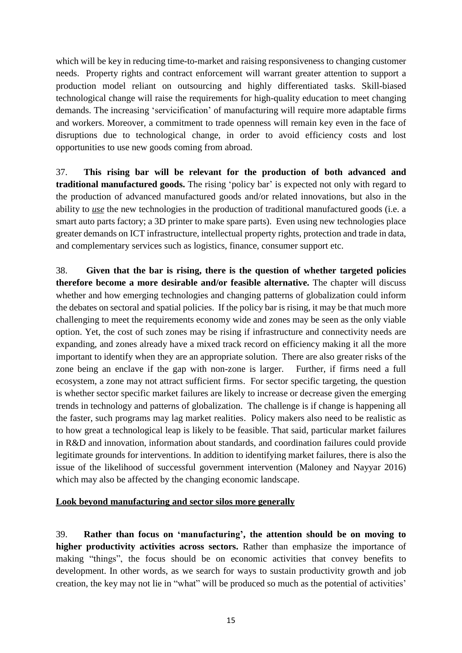which will be key in reducing time-to-market and raising responsiveness to changing customer needs. Property rights and contract enforcement will warrant greater attention to support a production model reliant on outsourcing and highly differentiated tasks. Skill-biased technological change will raise the requirements for high-quality education to meet changing demands. The increasing 'servicification' of manufacturing will require more adaptable firms and workers. Moreover, a commitment to trade openness will remain key even in the face of disruptions due to technological change, in order to avoid efficiency costs and lost opportunities to use new goods coming from abroad.

37. **This rising bar will be relevant for the production of both advanced and traditional manufactured goods.** The rising 'policy bar' is expected not only with regard to the production of advanced manufactured goods and/or related innovations, but also in the ability to *use* the new technologies in the production of traditional manufactured goods (i.e. a smart auto parts factory; a 3D printer to make spare parts). Even using new technologies place greater demands on ICT infrastructure, intellectual property rights, protection and trade in data, and complementary services such as logistics, finance, consumer support etc.

38. **Given that the bar is rising, there is the question of whether targeted policies therefore become a more desirable and/or feasible alternative.** The chapter will discuss whether and how emerging technologies and changing patterns of globalization could inform the debates on sectoral and spatial policies. If the policy bar is rising, it may be that much more challenging to meet the requirements economy wide and zones may be seen as the only viable option. Yet, the cost of such zones may be rising if infrastructure and connectivity needs are expanding, and zones already have a mixed track record on efficiency making it all the more important to identify when they are an appropriate solution. There are also greater risks of the zone being an enclave if the gap with non-zone is larger. Further, if firms need a full ecosystem, a zone may not attract sufficient firms. For sector specific targeting, the question is whether sector specific market failures are likely to increase or decrease given the emerging trends in technology and patterns of globalization. The challenge is if change is happening all the faster, such programs may lag market realities. Policy makers also need to be realistic as to how great a technological leap is likely to be feasible. That said, particular market failures in R&D and innovation, information about standards, and coordination failures could provide legitimate grounds for interventions. In addition to identifying market failures, there is also the issue of the likelihood of successful government intervention (Maloney and Nayyar 2016) which may also be affected by the changing economic landscape.

### **Look beyond manufacturing and sector silos more generally**

39. **Rather than focus on 'manufacturing', the attention should be on moving to higher productivity activities across sectors.** Rather than emphasize the importance of making "things", the focus should be on economic activities that convey benefits to development. In other words, as we search for ways to sustain productivity growth and job creation, the key may not lie in "what" will be produced so much as the potential of activities'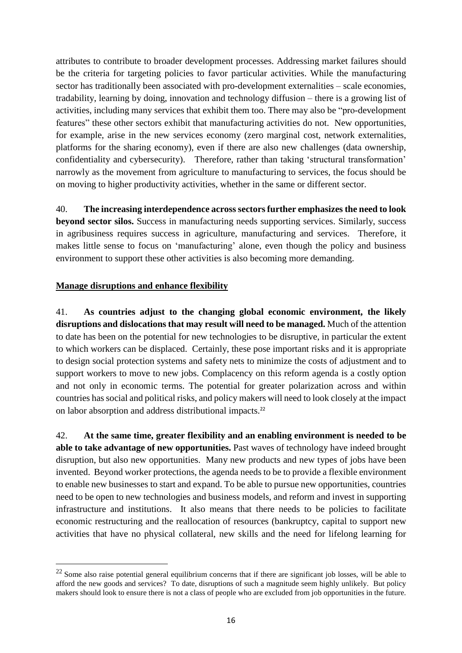attributes to contribute to broader development processes. Addressing market failures should be the criteria for targeting policies to favor particular activities. While the manufacturing sector has traditionally been associated with pro-development externalities – scale economies, tradability, learning by doing, innovation and technology diffusion – there is a growing list of activities, including many services that exhibit them too. There may also be "pro-development features" these other sectors exhibit that manufacturing activities do not. New opportunities, for example, arise in the new services economy (zero marginal cost, network externalities, platforms for the sharing economy), even if there are also new challenges (data ownership, confidentiality and cybersecurity). Therefore, rather than taking 'structural transformation' narrowly as the movement from agriculture to manufacturing to services, the focus should be on moving to higher productivity activities, whether in the same or different sector.

40. **The increasing interdependence acrosssectors further emphasizes the need to look beyond sector silos.** Success in manufacturing needs supporting services. Similarly, success in agribusiness requires success in agriculture, manufacturing and services. Therefore, it makes little sense to focus on 'manufacturing' alone, even though the policy and business environment to support these other activities is also becoming more demanding.

### **Manage disruptions and enhance flexibility**

 $\overline{a}$ 

41. **As countries adjust to the changing global economic environment, the likely disruptions and dislocations that may result will need to be managed.** Much of the attention to date has been on the potential for new technologies to be disruptive, in particular the extent to which workers can be displaced. Certainly, these pose important risks and it is appropriate to design social protection systems and safety nets to minimize the costs of adjustment and to support workers to move to new jobs. Complacency on this reform agenda is a costly option and not only in economic terms. The potential for greater polarization across and within countries hassocial and political risks, and policy makers will need to look closely at the impact on labor absorption and address distributional impacts.<sup>22</sup>

42. **At the same time, greater flexibility and an enabling environment is needed to be able to take advantage of new opportunities.** Past waves of technology have indeed brought disruption, but also new opportunities. Many new products and new types of jobs have been invented. Beyond worker protections, the agenda needs to be to provide a flexible environment to enable new businesses to start and expand. To be able to pursue new opportunities, countries need to be open to new technologies and business models, and reform and invest in supporting infrastructure and institutions. It also means that there needs to be policies to facilitate economic restructuring and the reallocation of resources (bankruptcy, capital to support new activities that have no physical collateral, new skills and the need for lifelong learning for

 $22$  Some also raise potential general equilibrium concerns that if there are significant job losses, will be able to afford the new goods and services? To date, disruptions of such a magnitude seem highly unlikely. But policy makers should look to ensure there is not a class of people who are excluded from job opportunities in the future.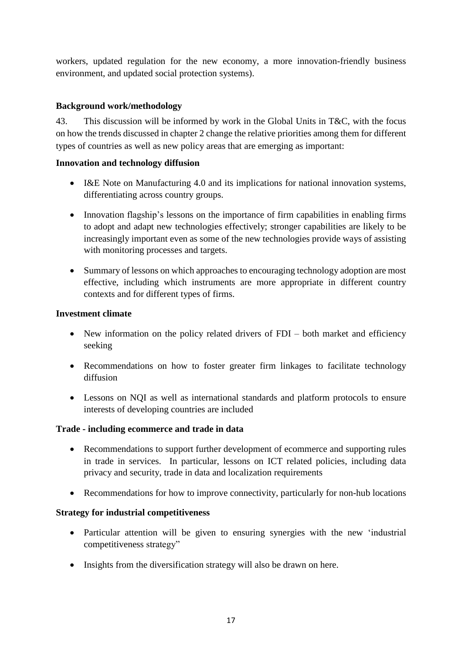workers, updated regulation for the new economy, a more innovation-friendly business environment, and updated social protection systems).

# **Background work/methodology**

43. This discussion will be informed by work in the Global Units in T&C, with the focus on how the trends discussed in chapter 2 change the relative priorities among them for different types of countries as well as new policy areas that are emerging as important:

### **Innovation and technology diffusion**

- I&E Note on Manufacturing 4.0 and its implications for national innovation systems, differentiating across country groups.
- Innovation flagship's lessons on the importance of firm capabilities in enabling firms to adopt and adapt new technologies effectively; stronger capabilities are likely to be increasingly important even as some of the new technologies provide ways of assisting with monitoring processes and targets.
- Summary of lessons on which approaches to encouraging technology adoption are most effective, including which instruments are more appropriate in different country contexts and for different types of firms.

## **Investment climate**

- New information on the policy related drivers of FDI both market and efficiency seeking
- Recommendations on how to foster greater firm linkages to facilitate technology diffusion
- Lessons on NQI as well as international standards and platform protocols to ensure interests of developing countries are included

### **Trade - including ecommerce and trade in data**

- Recommendations to support further development of ecommerce and supporting rules in trade in services. In particular, lessons on ICT related policies, including data privacy and security, trade in data and localization requirements
- Recommendations for how to improve connectivity, particularly for non-hub locations

### **Strategy for industrial competitiveness**

- Particular attention will be given to ensuring synergies with the new 'industrial competitiveness strategy"
- Insights from the diversification strategy will also be drawn on here.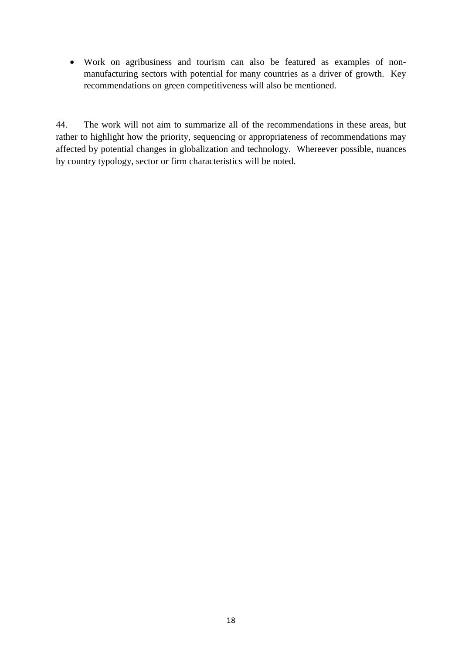Work on agribusiness and tourism can also be featured as examples of nonmanufacturing sectors with potential for many countries as a driver of growth. Key recommendations on green competitiveness will also be mentioned.

44. The work will not aim to summarize all of the recommendations in these areas, but rather to highlight how the priority, sequencing or appropriateness of recommendations may affected by potential changes in globalization and technology. Whereever possible, nuances by country typology, sector or firm characteristics will be noted.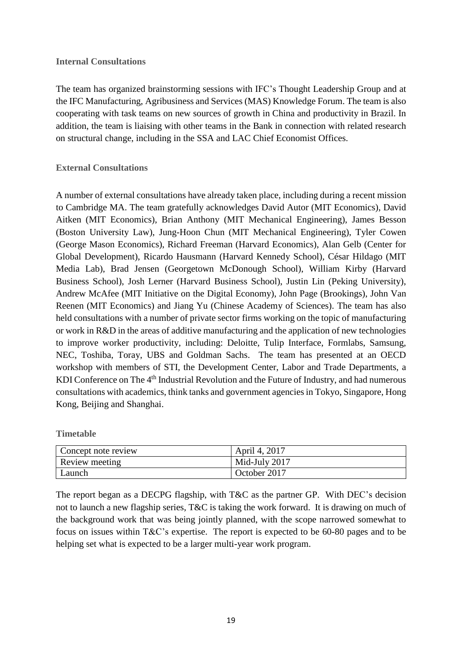#### **Internal Consultations**

The team has organized brainstorming sessions with IFC's Thought Leadership Group and at the IFC Manufacturing, Agribusiness and Services (MAS) Knowledge Forum. The team is also cooperating with task teams on new sources of growth in China and productivity in Brazil. In addition, the team is liaising with other teams in the Bank in connection with related research on structural change, including in the SSA and LAC Chief Economist Offices.

### **External Consultations**

A number of external consultations have already taken place, including during a recent mission to Cambridge MA. The team gratefully acknowledges David Autor (MIT Economics), David Aitken (MIT Economics), Brian Anthony (MIT Mechanical Engineering), James Besson (Boston University Law), Jung-Hoon Chun (MIT Mechanical Engineering), Tyler Cowen (George Mason Economics), Richard Freeman (Harvard Economics), Alan Gelb (Center for Global Development), Ricardo Hausmann (Harvard Kennedy School), César Hildago (MIT Media Lab), Brad Jensen (Georgetown McDonough School), William Kirby (Harvard Business School), Josh Lerner (Harvard Business School), Justin Lin (Peking University), Andrew McAfee (MIT Initiative on the Digital Economy), John Page (Brookings), John Van Reenen (MIT Economics) and Jiang Yu (Chinese Academy of Sciences). The team has also held consultations with a number of private sector firms working on the topic of manufacturing or work in R&D in the areas of additive manufacturing and the application of new technologies to improve worker productivity, including: Deloitte, Tulip Interface, Formlabs, Samsung, NEC, Toshiba, Toray, UBS and Goldman Sachs. The team has presented at an OECD workshop with members of STI, the Development Center, Labor and Trade Departments, a KDI Conference on The 4<sup>th</sup> Industrial Revolution and the Future of Industry, and had numerous consultations with academics, think tanks and government agenciesin Tokyo, Singapore, Hong Kong, Beijing and Shanghai.

**Timetable**

| Concept note review | April 4, 2017 |
|---------------------|---------------|
| Review meeting      | Mid-July 2017 |
| ∟aunch              | October 2017  |

The report began as a DECPG flagship, with T&C as the partner GP. With DEC's decision not to launch a new flagship series, T&C is taking the work forward. It is drawing on much of the background work that was being jointly planned, with the scope narrowed somewhat to focus on issues within T&C's expertise. The report is expected to be 60-80 pages and to be helping set what is expected to be a larger multi-year work program.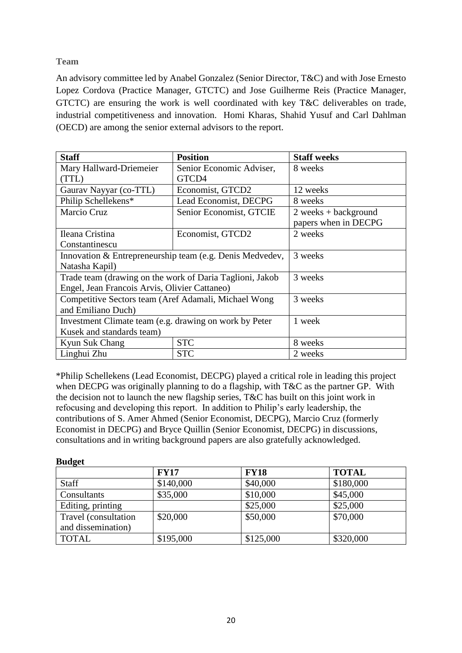**Team**

An advisory committee led by Anabel Gonzalez (Senior Director, T&C) and with Jose Ernesto Lopez Cordova (Practice Manager, GTCTC) and Jose Guilherme Reis (Practice Manager, GTCTC) are ensuring the work is well coordinated with key T&C deliverables on trade, industrial competitiveness and innovation. Homi Kharas, Shahid Yusuf and Carl Dahlman (OECD) are among the senior external advisors to the report.

| <b>Staff</b>                                             | <b>Position</b>          | <b>Staff weeks</b>     |
|----------------------------------------------------------|--------------------------|------------------------|
| Mary Hallward-Driemeier                                  | Senior Economic Adviser, | 8 weeks                |
| (TTL)                                                    | GTCD4                    |                        |
| Gaurav Nayyar (co-TTL)                                   | Economist, GTCD2         | 12 weeks               |
| Philip Schellekens*                                      | Lead Economist, DECPG    | 8 weeks                |
| Marcio Cruz                                              | Senior Economist, GTCIE  | $2 weeks + background$ |
|                                                          |                          | papers when in DECPG   |
| Ileana Cristina                                          | Economist, GTCD2         | 2 weeks                |
| Constantinescu                                           |                          |                        |
| Innovation & Entrepreneurship team (e.g. Denis Medvedev, |                          | 3 weeks                |
| Natasha Kapil)                                           |                          |                        |
| Trade team (drawing on the work of Daria Taglioni, Jakob |                          | 3 weeks                |
| Engel, Jean Francois Arvis, Olivier Cattaneo)            |                          |                        |
| Competitive Sectors team (Aref Adamali, Michael Wong     |                          | 3 weeks                |
| and Emiliano Duch)                                       |                          |                        |
| Investment Climate team (e.g. drawing on work by Peter   |                          | 1 week                 |
| Kusek and standards team)                                |                          |                        |
| Kyun Suk Chang                                           | <b>STC</b>               | 8 weeks                |
| Linghui Zhu                                              | <b>STC</b>               | 2 weeks                |

\*Philip Schellekens (Lead Economist, DECPG) played a critical role in leading this project when DECPG was originally planning to do a flagship, with T&C as the partner GP. With the decision not to launch the new flagship series, T&C has built on this joint work in refocusing and developing this report. In addition to Philip's early leadership, the contributions of S. Amer Ahmed (Senior Economist, DECPG), Marcio Cruz (formerly Economist in DECPG) and Bryce Quillin (Senior Economist, DECPG) in discussions, consultations and in writing background papers are also gratefully acknowledged.

#### **Budget**

|                      | <b>FY17</b> | <b>FY18</b> | <b>TOTAL</b> |
|----------------------|-------------|-------------|--------------|
| <b>Staff</b>         | \$140,000   | \$40,000    | \$180,000    |
| Consultants          | \$35,000    | \$10,000    | \$45,000     |
| Editing, printing    |             | \$25,000    | \$25,000     |
| Travel (consultation | \$20,000    | \$50,000    | \$70,000     |
| and dissemination)   |             |             |              |
| <b>TOTAL</b>         | \$195,000   | \$125,000   | \$320,000    |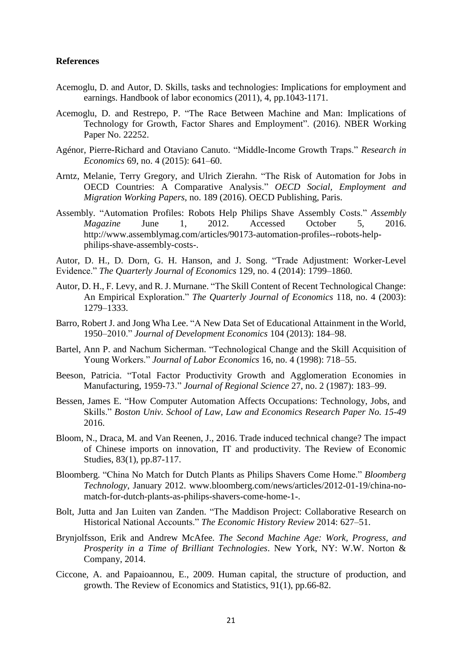#### **References**

- Acemoglu, D. and Autor, D. Skills, tasks and technologies: Implications for employment and earnings. Handbook of labor economics (2011), 4, pp.1043-1171.
- Acemoglu, D. and Restrepo, P. "The Race Between Machine and Man: Implications of Technology for Growth, Factor Shares and Employment". (2016). NBER Working Paper No. 22252.
- Agénor, Pierre-Richard and Otaviano Canuto. "Middle-Income Growth Traps." *Research in Economics* 69, no. 4 (2015): 641–60.
- Arntz, Melanie, Terry Gregory, and Ulrich Zierahn. "The Risk of Automation for Jobs in OECD Countries: A Comparative Analysis." *OECD Social, Employment and Migration Working Papers*, no. 189 (2016). OECD Publishing, Paris.
- Assembly. "Automation Profiles: Robots Help Philips Shave Assembly Costs." *Assembly Magazine* June 1, 2012. Accessed October 5, 2016. http://www.assemblymag.com/articles/90173-automation-profiles--robots-helpphilips-shave-assembly-costs-.

Autor, D. H., D. Dorn, G. H. Hanson, and J. Song. "Trade Adjustment: Worker-Level Evidence." *The Quarterly Journal of Economics* 129, no. 4 (2014): 1799–1860.

- Autor, D. H., F. Levy, and R. J. Murnane. "The Skill Content of Recent Technological Change: An Empirical Exploration." *The Quarterly Journal of Economics* 118, no. 4 (2003): 1279–1333.
- Barro, Robert J. and Jong Wha Lee. "A New Data Set of Educational Attainment in the World, 1950–2010." *Journal of Development Economics* 104 (2013): 184–98.
- Bartel, Ann P. and Nachum Sicherman. "Technological Change and the Skill Acquisition of Young Workers." *Journal of Labor Economics* 16, no. 4 (1998): 718–55.
- Beeson, Patricia. "Total Factor Productivity Growth and Agglomeration Economies in Manufacturing, 1959-73." *Journal of Regional Science* 27, no. 2 (1987): 183–99.
- Bessen, James E. "How Computer Automation Affects Occupations: Technology, Jobs, and Skills." *Boston Univ. School of Law, Law and Economics Research Paper No. 15-49* 2016.
- Bloom, N., Draca, M. and Van Reenen, J., 2016. Trade induced technical change? The impact of Chinese imports on innovation, IT and productivity. The Review of Economic Studies, 83(1), pp.87-117.
- Bloomberg. "China No Match for Dutch Plants as Philips Shavers Come Home." *Bloomberg Technology*, January 2012. www.bloomberg.com/news/articles/2012-01-19/china-nomatch-for-dutch-plants-as-philips-shavers-come-home-1-.
- Bolt, Jutta and Jan Luiten van Zanden. "The Maddison Project: Collaborative Research on Historical National Accounts." *The Economic History Review* 2014: 627–51.
- Brynjolfsson, Erik and Andrew McAfee. *The Second Machine Age: Work, Progress, and Prosperity in a Time of Brilliant Technologies*. New York, NY: W.W. Norton & Company, 2014.
- Ciccone, A. and Papaioannou, E., 2009. Human capital, the structure of production, and growth. The Review of Economics and Statistics, 91(1), pp.66-82.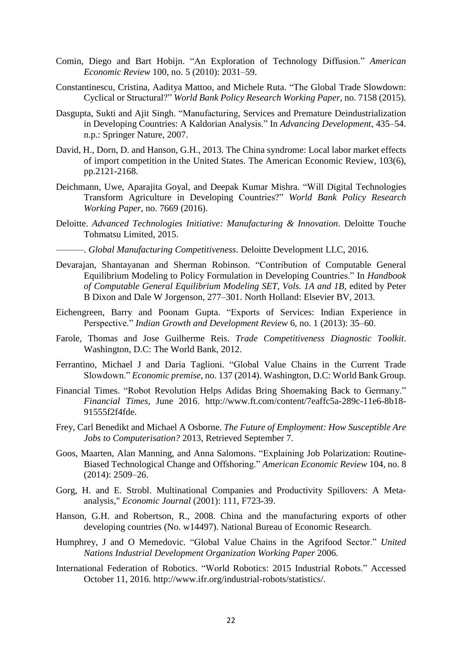- Comin, Diego and Bart Hobijn. "An Exploration of Technology Diffusion." *American Economic Review* 100, no. 5 (2010): 2031–59.
- Constantinescu, Cristina, Aaditya Mattoo, and Michele Ruta. "The Global Trade Slowdown: Cyclical or Structural?" *World Bank Policy Research Working Paper*, no. 7158 (2015).
- Dasgupta, Sukti and Ajit Singh. "Manufacturing, Services and Premature Deindustrialization in Developing Countries: A Kaldorian Analysis." In *Advancing Development*, 435–54. n.p.: Springer Nature, 2007.
- David, H., Dorn, D. and Hanson, G.H., 2013. The China syndrome: Local labor market effects of import competition in the United States. The American Economic Review, 103(6), pp.2121-2168.
- Deichmann, Uwe, Aparajita Goyal, and Deepak Kumar Mishra. "Will Digital Technologies Transform Agriculture in Developing Countries?" *World Bank Policy Research Working Paper*, no. 7669 (2016).
- Deloitte. *Advanced Technologies Initiative: Manufacturing & Innovation*. Deloitte Touche Tohmatsu Limited, 2015.
	- ———. *Global Manufacturing Competitiveness*. Deloitte Development LLC, 2016.
- Devarajan, Shantayanan and Sherman Robinson. "Contribution of Computable General Equilibrium Modeling to Policy Formulation in Developing Countries." In *Handbook of Computable General Equilibrium Modeling SET, Vols. 1A and 1B*, edited by Peter B Dixon and Dale W Jorgenson, 277–301. North Holland: Elsevier BV, 2013.
- Eichengreen, Barry and Poonam Gupta. "Exports of Services: Indian Experience in Perspective." *Indian Growth and Development Review* 6, no. 1 (2013): 35–60.
- Farole, Thomas and Jose Guilherme Reis. *Trade Competitiveness Diagnostic Toolkit*. Washington, D.C: The World Bank, 2012.
- Ferrantino, Michael J and Daria Taglioni. "Global Value Chains in the Current Trade Slowdown." *Economic premise*, no. 137 (2014). Washington, D.C: World Bank Group.
- Financial Times. "Robot Revolution Helps Adidas Bring Shoemaking Back to Germany." *Financial Times*, June 2016. http://www.ft.com/content/7eaffc5a-289c-11e6-8b18- 91555f2f4fde.
- Frey, Carl Benedikt and Michael A Osborne. *The Future of Employment: How Susceptible Are Jobs to Computerisation?* 2013, Retrieved September 7.
- Goos, Maarten, Alan Manning, and Anna Salomons. "Explaining Job Polarization: Routine-Biased Technological Change and Offshoring." *American Economic Review* 104, no. 8 (2014): 2509–26.
- Gorg, H. and E. Strobl. Multinational Companies and Productivity Spillovers: A Metaanalysis," *Economic Journal* (2001): 111, F723-39.
- Hanson, G.H. and Robertson, R., 2008. China and the manufacturing exports of other developing countries (No. w14497). National Bureau of Economic Research.
- Humphrey, J and O Memedovic. "Global Value Chains in the Agrifood Sector." *United Nations Industrial Development Organization Working Paper* 2006.
- International Federation of Robotics. "World Robotics: 2015 Industrial Robots." Accessed October 11, 2016. http://www.ifr.org/industrial-robots/statistics/.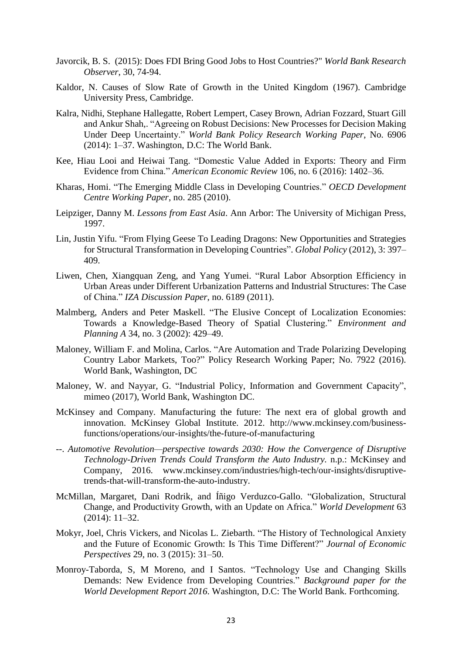- Javorcik, B. S. (2015): Does FDI Bring Good Jobs to Host Countries?" *World Bank Research Observer*, 30, 74-94.
- Kaldor, N. Causes of Slow Rate of Growth in the United Kingdom (1967). Cambridge University Press, Cambridge.
- Kalra, Nidhi, Stephane Hallegatte, Robert Lempert, Casey Brown, Adrian Fozzard, Stuart Gill and Ankur Shah,. "Agreeing on Robust Decisions: New Processes for Decision Making Under Deep Uncertainty." *World Bank Policy Research Working Paper*, No. 6906 (2014): 1–37. Washington, D.C: The World Bank.
- Kee, Hiau Looi and Heiwai Tang. "Domestic Value Added in Exports: Theory and Firm Evidence from China." *American Economic Review* 106, no. 6 (2016): 1402–36.
- Kharas, Homi. "The Emerging Middle Class in Developing Countries." *OECD Development Centre Working Paper*, no. 285 (2010).
- Leipziger, Danny M. *Lessons from East Asia*. Ann Arbor: The University of Michigan Press, 1997.
- Lin, Justin Yifu. "From Flying Geese To Leading Dragons: New Opportunities and Strategies for Structural Transformation in Developing Countries". *Global Policy* (2012), 3: 397– 409.
- Liwen, Chen, Xiangquan Zeng, and Yang Yumei. "Rural Labor Absorption Efficiency in Urban Areas under Different Urbanization Patterns and Industrial Structures: The Case of China." *IZA Discussion Paper*, no. 6189 (2011).
- Malmberg, Anders and Peter Maskell. "The Elusive Concept of Localization Economies: Towards a Knowledge-Based Theory of Spatial Clustering." *Environment and Planning A* 34, no. 3 (2002): 429–49.
- Maloney, William F. and Molina, Carlos. "Are Automation and Trade Polarizing Developing Country Labor Markets, Too?" Policy Research Working Paper; No. 7922 (2016). World Bank, Washington, DC
- Maloney, W. and Nayyar, G. "Industrial Policy, Information and Government Capacity", mimeo (2017), World Bank, Washington DC.
- McKinsey and Company. Manufacturing the future: The next era of global growth and innovation. McKinsey Global Institute. 2012. http://www.mckinsey.com/businessfunctions/operations/our-insights/the-future-of-manufacturing
- --. *Automotive Revolution—perspective towards 2030: How the Convergence of Disruptive Technology-Driven Trends Could Transform the Auto Industry.* n.p.: McKinsey and Company, 2016. www.mckinsey.com/industries/high-tech/our-insights/disruptivetrends-that-will-transform-the-auto-industry.
- McMillan, Margaret, Dani Rodrik, and Íñigo Verduzco-Gallo. "Globalization, Structural Change, and Productivity Growth, with an Update on Africa." *World Development* 63 (2014): 11–32.
- Mokyr, Joel, Chris Vickers, and Nicolas L. Ziebarth. "The History of Technological Anxiety and the Future of Economic Growth: Is This Time Different?" *Journal of Economic Perspectives* 29, no. 3 (2015): 31–50.
- Monroy-Taborda, S, M Moreno, and I Santos. "Technology Use and Changing Skills Demands: New Evidence from Developing Countries." *Background paper for the World Development Report 2016*. Washington, D.C: The World Bank. Forthcoming.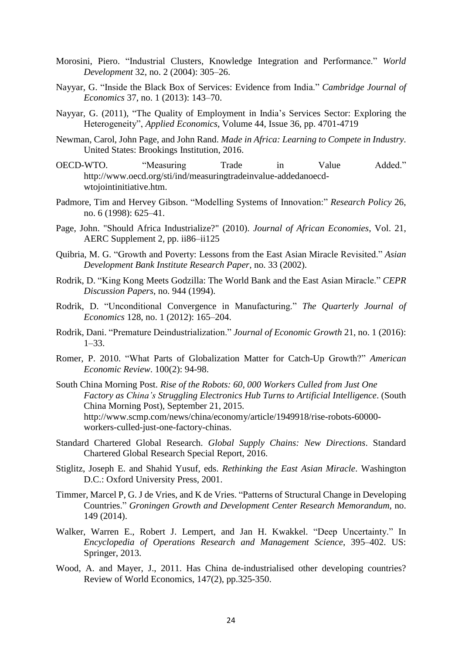- Morosini, Piero. "Industrial Clusters, Knowledge Integration and Performance." *World Development* 32, no. 2 (2004): 305–26.
- Nayyar, G. "Inside the Black Box of Services: Evidence from India." *Cambridge Journal of Economics* 37, no. 1 (2013): 143–70.
- Nayyar, G. (2011), "The Quality of Employment in India's Services Sector: Exploring the Heterogeneity", *Applied Economics*, Volume 44, Issue 36, pp. 4701-4719
- Newman, Carol, John Page, and John Rand. *Made in Africa: Learning to Compete in Industry*. United States: Brookings Institution, 2016.
- OECD-WTO. "Measuring Trade in Value Added." http://www.oecd.org/sti/ind/measuringtradeinvalue-addedanoecdwtojointinitiative.htm.
- Padmore, Tim and Hervey Gibson. "Modelling Systems of Innovation:" *Research Policy* 26, no. 6 (1998): 625–41.
- Page, John. "Should Africa Industrialize?" (2010). *Journal of African Economies*, Vol. 21, AERC Supplement 2, pp. ii86–ii125
- Quibria, M. G. "Growth and Poverty: Lessons from the East Asian Miracle Revisited." *Asian Development Bank Institute Research Paper*, no. 33 (2002).
- Rodrik, D. "King Kong Meets Godzilla: The World Bank and the East Asian Miracle." *CEPR Discussion Papers*, no. 944 (1994).
- Rodrik, D. "Unconditional Convergence in Manufacturing." *The Quarterly Journal of Economics* 128, no. 1 (2012): 165–204.
- Rodrik, Dani. "Premature Deindustrialization." *Journal of Economic Growth* 21, no. 1 (2016): 1–33.
- Romer, P. 2010. "What Parts of Globalization Matter for Catch-Up Growth?" *American Economic Review*. 100(2): 94-98.
- South China Morning Post. *Rise of the Robots: 60, 000 Workers Culled from Just One Factory as China's Struggling Electronics Hub Turns to Artificial Intelligence*. (South China Morning Post), September 21, 2015. http://www.scmp.com/news/china/economy/article/1949918/rise-robots-60000 workers-culled-just-one-factory-chinas.
- Standard Chartered Global Research. *Global Supply Chains: New Directions*. Standard Chartered Global Research Special Report, 2016.
- Stiglitz, Joseph E. and Shahid Yusuf, eds. *Rethinking the East Asian Miracle*. Washington D.C.: Oxford University Press, 2001.
- Timmer, Marcel P, G. J de Vries, and K de Vries. "Patterns of Structural Change in Developing Countries." *Groningen Growth and Development Center Research Memorandum*, no. 149 (2014).
- Walker, Warren E., Robert J. Lempert, and Jan H. Kwakkel. "Deep Uncertainty." In *Encyclopedia of Operations Research and Management Science*, 395–402. US: Springer, 2013.
- Wood, A. and Mayer, J., 2011. Has China de-industrialised other developing countries? Review of World Economics, 147(2), pp.325-350.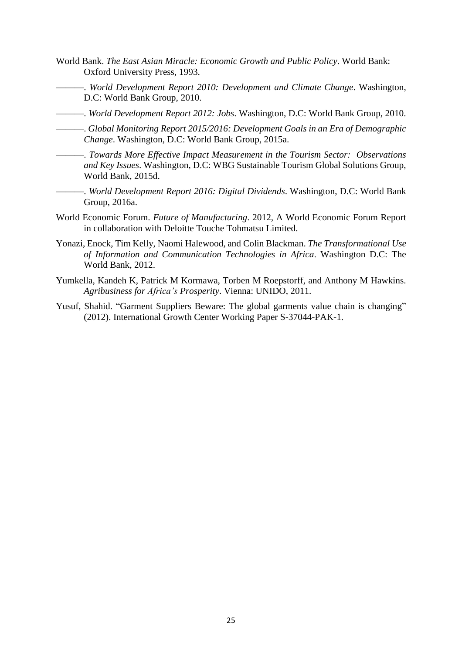- World Bank. *The East Asian Miracle: Economic Growth and Public Policy*. World Bank: Oxford University Press, 1993.
	- ———. *World Development Report 2010: Development and Climate Change*. Washington, D.C: World Bank Group, 2010.
- ———. *World Development Report 2012: Jobs*. Washington, D.C: World Bank Group, 2010.
- ———. *Global Monitoring Report 2015/2016: Development Goals in an Era of Demographic Change*. Washington, D.C: World Bank Group, 2015a.
- ———. *Towards More Effective Impact Measurement in the Tourism Sector: Observations and Key Issues*. Washington, D.C: WBG Sustainable Tourism Global Solutions Group, World Bank, 2015d.
- ———. *World Development Report 2016: Digital Dividends*. Washington, D.C: World Bank Group, 2016a.
- World Economic Forum. *Future of Manufacturing*. 2012, A World Economic Forum Report in collaboration with Deloitte Touche Tohmatsu Limited.
- Yonazi, Enock, Tim Kelly, Naomi Halewood, and Colin Blackman. *The Transformational Use of Information and Communication Technologies in Africa*. Washington D.C: The World Bank, 2012.
- Yumkella, Kandeh K, Patrick M Kormawa, Torben M Roepstorff, and Anthony M Hawkins. *Agribusiness for Africa's Prosperity*. Vienna: UNIDO, 2011.
- Yusuf, Shahid. "Garment Suppliers Beware: The global garments value chain is changing" (2012). International Growth Center Working Paper S-37044-PAK-1.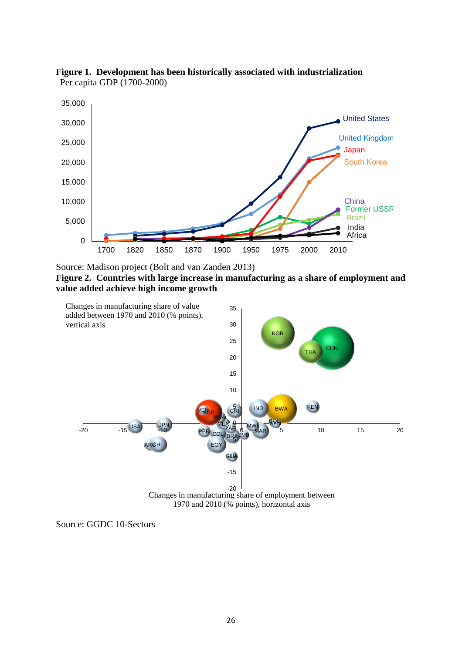

**Figure 1. Development has been historically associated with industrialization** Per capita GDP (1700-2000)

Source: Madison project (Bolt and van Zanden 2013)

**Figure 2. Countries with large increase in manufacturing as a share of employment and value added achieve high income growth**



1970 and 2010 (% points), horizontal axis

Source: GGDC 10-Sectors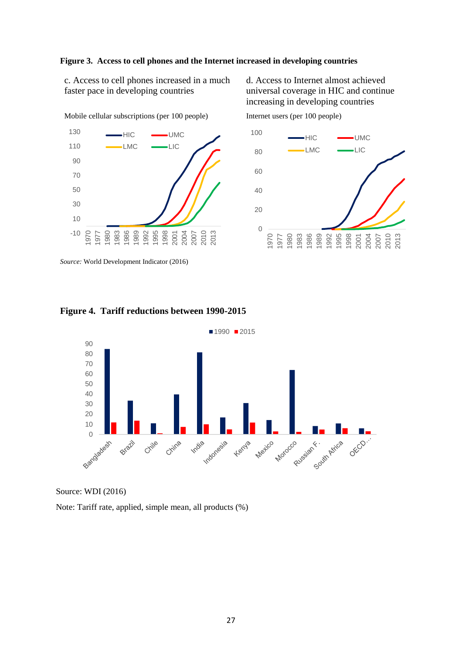#### **Figure 3. Access to cell phones and the Internet increased in developing countries**

c. Access to cell phones increased in a much faster pace in developing countries

d. Access to Internet almost achieved universal coverage in HIC and continue increasing in developing countries



*Source:* World Development Indicator (2016)





#### **Figure 4. Tariff reductions between 1990-2015**



Source: WDI (2016)

Note: Tariff rate, applied, simple mean, all products (%)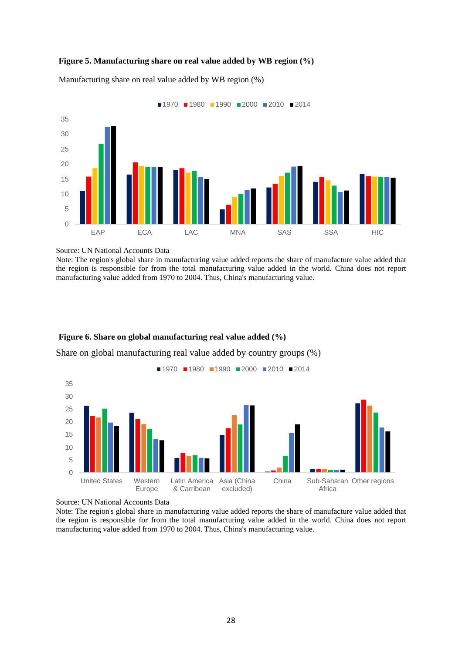#### **Figure 5. Manufacturing share on real value added by WB region (%)**



Manufacturing share on real value added by WB region (%)

Source: UN National Accounts Data

Note: The region's global share in manufacturing value added reports the share of manufacture value added that the region is responsible for from the total manufacturing value added in the world. China does not report manufacturing value added from 1970 to 2004. Thus, China's manufacturing value.

#### **Figure 6. Share on global manufacturing real value added (%)**

Share on global manufacturing real value added by country groups (%)



Source: UN National Accounts Data

Note: The region's global share in manufacturing value added reports the share of manufacture value added that the region is responsible for from the total manufacturing value added in the world. China does not report manufacturing value added from 1970 to 2004. Thus, China's manufacturing value.